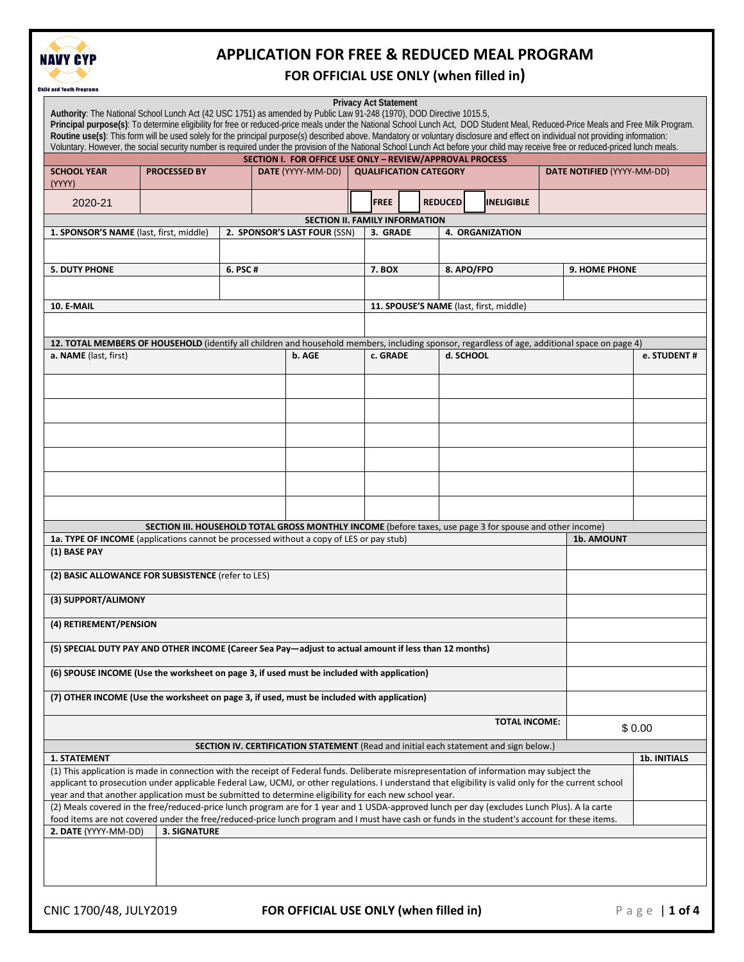

### **FOR OFFICIAL USE ONLY (when filled in)**

|                                                                                                                                                                                                                                                                                                                                                                                                         |                                                                                                                                                                                                                                                                                                    |                              |  | SECTION I. FOR OFFICE USE ONLY - REVIEW/APPROVAL PROCESS |                               |               |  |                 |                                         |                            |            |             |
|---------------------------------------------------------------------------------------------------------------------------------------------------------------------------------------------------------------------------------------------------------------------------------------------------------------------------------------------------------------------------------------------------------|----------------------------------------------------------------------------------------------------------------------------------------------------------------------------------------------------------------------------------------------------------------------------------------------------|------------------------------|--|----------------------------------------------------------|-------------------------------|---------------|--|-----------------|-----------------------------------------|----------------------------|------------|-------------|
| <b>SCHOOL YEAR</b><br>(YYYY)                                                                                                                                                                                                                                                                                                                                                                            |                                                                                                                                                                                                                                                                                                    | <b>PROCESSED BY</b>          |  | DATE (YYYY-MM-DD)                                        | <b>QUALIFICATION CATEGORY</b> |               |  |                 |                                         | DATE NOTIFIED (YYYY-MM-DD) |            |             |
| 2020-21                                                                                                                                                                                                                                                                                                                                                                                                 |                                                                                                                                                                                                                                                                                                    |                              |  |                                                          |                               | <b>FREE</b>   |  | <b>REDUCED</b>  | <b>INELIGIBLE</b>                       |                            |            |             |
|                                                                                                                                                                                                                                                                                                                                                                                                         |                                                                                                                                                                                                                                                                                                    |                              |  | SECTION II. FAMILY INFORMATION                           |                               |               |  |                 |                                         |                            |            |             |
| 1. SPONSOR'S NAME (last, first, middle)                                                                                                                                                                                                                                                                                                                                                                 |                                                                                                                                                                                                                                                                                                    | 2. SPONSOR'S LAST FOUR (SSN) |  |                                                          |                               | 3. GRADE      |  | 4. ORGANIZATION |                                         |                            |            |             |
| <b>5. DUTY PHONE</b>                                                                                                                                                                                                                                                                                                                                                                                    |                                                                                                                                                                                                                                                                                                    | 6. PSC#                      |  |                                                          |                               | <b>7. BOX</b> |  | 8. APO/FPO      |                                         | <b>9. HOME PHONE</b>       |            |             |
|                                                                                                                                                                                                                                                                                                                                                                                                         |                                                                                                                                                                                                                                                                                                    |                              |  |                                                          |                               |               |  |                 |                                         |                            |            |             |
| 10. E-MAIL                                                                                                                                                                                                                                                                                                                                                                                              |                                                                                                                                                                                                                                                                                                    |                              |  |                                                          |                               |               |  |                 | 11. SPOUSE'S NAME (last, first, middle) |                            |            |             |
|                                                                                                                                                                                                                                                                                                                                                                                                         |                                                                                                                                                                                                                                                                                                    |                              |  |                                                          |                               |               |  |                 |                                         |                            |            |             |
| a. NAME (last, first)                                                                                                                                                                                                                                                                                                                                                                                   | 12. TOTAL MEMBERS OF HOUSEHOLD (identify all children and household members, including sponsor, regardless of age, additional space on page 4)                                                                                                                                                     |                              |  | b. AGE                                                   |                               | c. GRADE      |  | d. SCHOOL       |                                         |                            |            | e. STUDENT# |
|                                                                                                                                                                                                                                                                                                                                                                                                         |                                                                                                                                                                                                                                                                                                    |                              |  |                                                          |                               |               |  |                 |                                         |                            |            |             |
|                                                                                                                                                                                                                                                                                                                                                                                                         |                                                                                                                                                                                                                                                                                                    |                              |  |                                                          |                               |               |  |                 |                                         |                            |            |             |
|                                                                                                                                                                                                                                                                                                                                                                                                         |                                                                                                                                                                                                                                                                                                    |                              |  |                                                          |                               |               |  |                 |                                         |                            |            |             |
|                                                                                                                                                                                                                                                                                                                                                                                                         |                                                                                                                                                                                                                                                                                                    |                              |  |                                                          |                               |               |  |                 |                                         |                            |            |             |
|                                                                                                                                                                                                                                                                                                                                                                                                         |                                                                                                                                                                                                                                                                                                    |                              |  |                                                          |                               |               |  |                 |                                         |                            |            |             |
|                                                                                                                                                                                                                                                                                                                                                                                                         |                                                                                                                                                                                                                                                                                                    |                              |  |                                                          |                               |               |  |                 |                                         |                            |            |             |
|                                                                                                                                                                                                                                                                                                                                                                                                         |                                                                                                                                                                                                                                                                                                    |                              |  |                                                          |                               |               |  |                 |                                         |                            |            |             |
|                                                                                                                                                                                                                                                                                                                                                                                                         |                                                                                                                                                                                                                                                                                                    |                              |  |                                                          |                               |               |  |                 |                                         |                            |            |             |
|                                                                                                                                                                                                                                                                                                                                                                                                         | SECTION III. HOUSEHOLD TOTAL GROSS MONTHLY INCOME (before taxes, use page 3 for spouse and other income)<br>1a. TYPE OF INCOME (applications cannot be processed without a copy of LES or pay stub)                                                                                                |                              |  |                                                          |                               |               |  |                 |                                         |                            | 1b. AMOUNT |             |
| (1) BASE PAY                                                                                                                                                                                                                                                                                                                                                                                            |                                                                                                                                                                                                                                                                                                    |                              |  |                                                          |                               |               |  |                 |                                         |                            |            |             |
|                                                                                                                                                                                                                                                                                                                                                                                                         | (2) BASIC ALLOWANCE FOR SUBSISTENCE (refer to LES)                                                                                                                                                                                                                                                 |                              |  |                                                          |                               |               |  |                 |                                         |                            |            |             |
| (3) SUPPORT/ALIMONY                                                                                                                                                                                                                                                                                                                                                                                     |                                                                                                                                                                                                                                                                                                    |                              |  |                                                          |                               |               |  |                 |                                         |                            |            |             |
| (4) RETIREMENT/PENSION                                                                                                                                                                                                                                                                                                                                                                                  |                                                                                                                                                                                                                                                                                                    |                              |  |                                                          |                               |               |  |                 |                                         |                            |            |             |
|                                                                                                                                                                                                                                                                                                                                                                                                         |                                                                                                                                                                                                                                                                                                    |                              |  |                                                          |                               |               |  |                 |                                         |                            |            |             |
|                                                                                                                                                                                                                                                                                                                                                                                                         | (5) SPECIAL DUTY PAY AND OTHER INCOME (Career Sea Pay—adjust to actual amount if less than 12 months)                                                                                                                                                                                              |                              |  |                                                          |                               |               |  |                 |                                         |                            |            |             |
|                                                                                                                                                                                                                                                                                                                                                                                                         | (6) SPOUSE INCOME (Use the worksheet on page 3, if used must be included with application)                                                                                                                                                                                                         |                              |  |                                                          |                               |               |  |                 |                                         |                            |            |             |
|                                                                                                                                                                                                                                                                                                                                                                                                         | (7) OTHER INCOME (Use the worksheet on page 3, if used, must be included with application)                                                                                                                                                                                                         |                              |  |                                                          |                               |               |  |                 |                                         |                            |            |             |
|                                                                                                                                                                                                                                                                                                                                                                                                         |                                                                                                                                                                                                                                                                                                    |                              |  |                                                          |                               |               |  |                 | <b>TOTAL INCOME:</b>                    |                            |            | \$0.00      |
|                                                                                                                                                                                                                                                                                                                                                                                                         |                                                                                                                                                                                                                                                                                                    |                              |  |                                                          |                               |               |  |                 |                                         |                            |            |             |
| SECTION IV. CERTIFICATION STATEMENT (Read and initial each statement and sign below.)<br><b>1. STATEMENT</b>                                                                                                                                                                                                                                                                                            |                                                                                                                                                                                                                                                                                                    |                              |  |                                                          |                               |               |  | 1b. INITIALS    |                                         |                            |            |             |
|                                                                                                                                                                                                                                                                                                                                                                                                         | (1) This application is made in connection with the receipt of Federal funds. Deliberate misrepresentation of information may subject the<br>applicant to prosecution under applicable Federal Law, UCMJ, or other regulations. I understand that eligibility is valid only for the current school |                              |  |                                                          |                               |               |  |                 |                                         |                            |            |             |
| year and that another application must be submitted to determine eligibility for each new school year.<br>(2) Meals covered in the free/reduced-price lunch program are for 1 year and 1 USDA-approved lunch per day (excludes Lunch Plus). A la carte<br>food items are not covered under the free/reduced-price lunch program and I must have cash or funds in the student's account for these items. |                                                                                                                                                                                                                                                                                                    |                              |  |                                                          |                               |               |  |                 |                                         |                            |            |             |
|                                                                                                                                                                                                                                                                                                                                                                                                         | 2. DATE (YYYY-MM-DD)<br><b>3. SIGNATURE</b>                                                                                                                                                                                                                                                        |                              |  |                                                          |                               |               |  |                 |                                         |                            |            |             |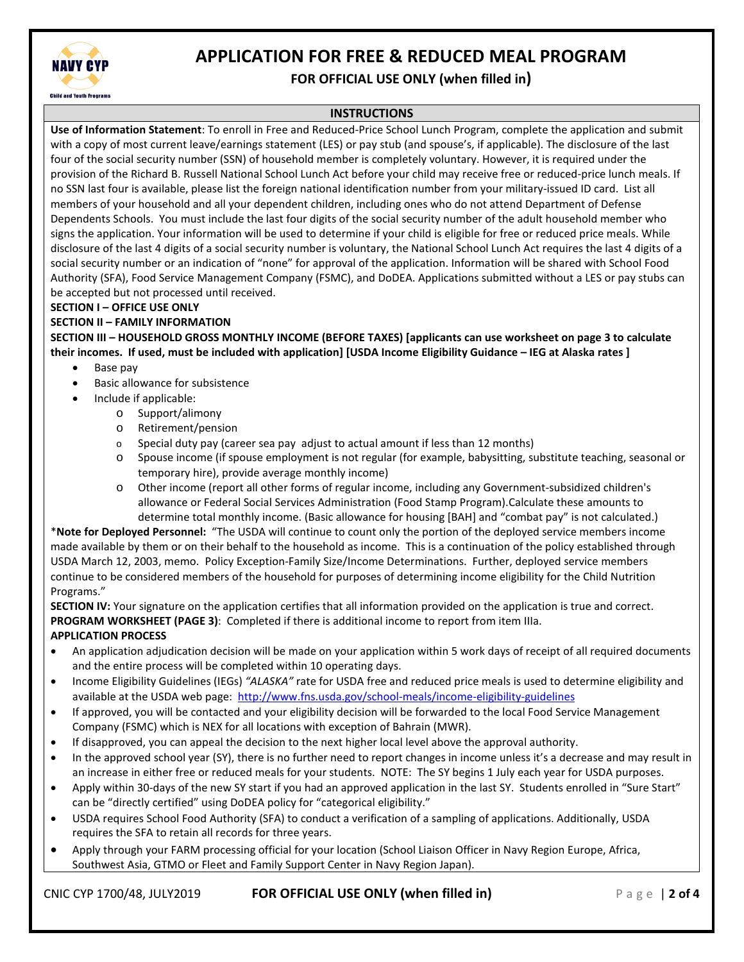

### **FOR OFFICIAL USE ONLY (when filled in)**

#### **INSTRUCTIONS**

**Use of Information Statement**: To enroll in Free and Reduced-Price School Lunch Program, complete the application and submit with a copy of most current leave/earnings statement (LES) or pay stub (and spouse's, if applicable). The disclosure of the last four of the social security number (SSN) of household member is completely voluntary. However, it is required under the provision of the Richard B. Russell National School Lunch Act before your child may receive free or reduced-price lunch meals. If no SSN last four is available, please list the foreign national identification number from your military-issued ID card. List all members of your household and all your dependent children, including ones who do not attend Department of Defense Dependents Schools. You must include the last four digits of the social security number of the adult household member who signs the application. Your information will be used to determine if your child is eligible for free or reduced price meals. While disclosure of the last 4 digits of a social security number is voluntary, the National School Lunch Act requires the last 4 digits of a social security number or an indication of "none" for approval of the application. Information will be shared with School Food Authority (SFA), Food Service Management Company (FSMC), and DoDEA. Applications submitted without a LES or pay stubs can be accepted but not processed until received.

#### **SECTION I – OFFICE USE ONLY**

#### **SECTION II – FAMILY INFORMATION**

**SECTION III – HOUSEHOLD GROSS MONTHLY INCOME (BEFORE TAXES) [applicants can use worksheet on page 3 to calculate their incomes. If used, must be included with application] [USDA Income Eligibility Guidance – IEG at Alaska rates ]**

- Base pay
- Basic allowance for subsistence
- Include if applicable:
	- o Support/alimony
		- o Retirement/pension
	- $\circ$  Special duty pay (career sea pay adjust to actual amount if less than 12 months)
	- o Spouse income (if spouse employment is not regular (for example, babysitting, substitute teaching, seasonal or temporary hire), provide average monthly income)
	- o Other income (report all other forms of regular income, including any Government-subsidized children's allowance or Federal Social Services Administration (Food Stamp Program).Calculate these amounts to determine total monthly income. (Basic allowance for housing [BAH] and "combat pay" is not calculated.)

\***Note for Deployed Personnel:** "The USDA will continue to count only the portion of the deployed service members income made available by them or on their behalf to the household as income. This is a continuation of the policy established through USDA March 12, 2003, memo. Policy Exception-Family Size/Income Determinations. Further, deployed service members continue to be considered members of the household for purposes of determining income eligibility for the Child Nutrition Programs."

**SECTION IV:** Your signature on the application certifies that all information provided on the application is true and correct. **PROGRAM WORKSHEET (PAGE 3)**: Completed if there is additional income to report from item IIIa. **APPLICATION PROCESS**

- An application adjudication decision will be made on your application within 5 work days of receipt of all required documents and the entire process will be completed within 10 operating days.
- Income Eligibility Guidelines (IEGs) *"ALASKA"* rate for USDA free and reduced price meals is used to determine eligibility and available at the USDA web page: http://www.fns.usda.gov/school-meals/income-eligibility-guidelines
- If approved, you will be contacted and your eligibility decision will be forwarded to the local Food Service Management Company (FSMC) which is NEX for all locations with exception of Bahrain (MWR).
- If disapproved, you can appeal the decision to the next higher local level above the approval authority.
- In the approved school year (SY), there is no further need to report changes in income unless it's a decrease and may result in an increase in either free or reduced meals for your students. NOTE: The SY begins 1 July each year for USDA purposes.
- Apply within 30-days of the new SY start if you had an approved application in the last SY. Students enrolled in "Sure Start" can be "directly certified" using DoDEA policy for "categorical eligibility."
- USDA requires School Food Authority (SFA) to conduct a verification of a sampling of applications. Additionally, USDA requires the SFA to retain all records for three years.
- Apply through your FARM processing official for your location (School Liaison Officer in Navy Region Europe, Africa, Southwest Asia, GTMO or Fleet and Family Support Center in Navy Region Japan).

CNIC CYP 1700/48, JULY2019 **FOR OFFICIAL USE ONLY (when filled in)** Page | **2 of 4**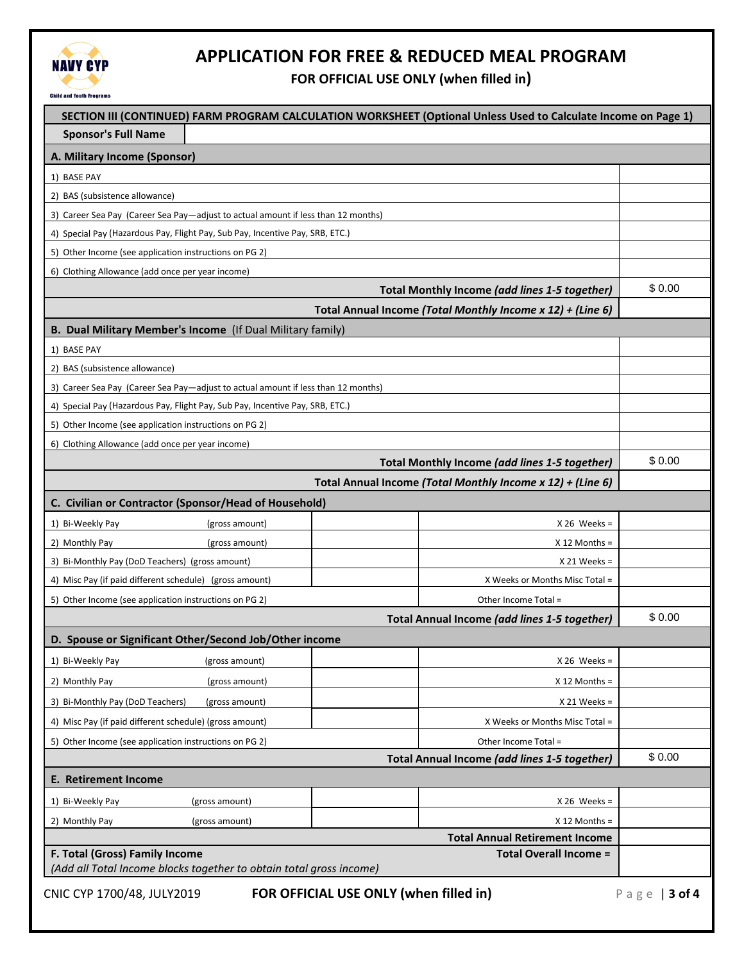

**FOR OFFICIAL USE ONLY (when filled in)**

| SECTION III (CONTINUED) FARM PROGRAM CALCULATION WORKSHEET (Optional Unless Used to Calculate Income on Page 1) |                                                            |               |  |  |  |  |
|-----------------------------------------------------------------------------------------------------------------|------------------------------------------------------------|---------------|--|--|--|--|
| <b>Sponsor's Full Name</b>                                                                                      |                                                            |               |  |  |  |  |
| A. Military Income (Sponsor)                                                                                    |                                                            |               |  |  |  |  |
| 1) BASE PAY                                                                                                     |                                                            |               |  |  |  |  |
| 2) BAS (subsistence allowance)                                                                                  |                                                            |               |  |  |  |  |
| 3) Career Sea Pay (Career Sea Pay—adjust to actual amount if less than 12 months)                               |                                                            |               |  |  |  |  |
| 4) Special Pay (Hazardous Pay, Flight Pay, Sub Pay, Incentive Pay, SRB, ETC.)                                   |                                                            |               |  |  |  |  |
| 5) Other Income (see application instructions on PG 2)                                                          |                                                            |               |  |  |  |  |
| 6) Clothing Allowance (add once per year income)                                                                |                                                            |               |  |  |  |  |
| Total Monthly Income (add lines 1-5 together)                                                                   |                                                            |               |  |  |  |  |
|                                                                                                                 | Total Annual Income (Total Monthly Income x 12) + (Line 6) |               |  |  |  |  |
| B. Dual Military Member's Income (If Dual Military family)                                                      |                                                            |               |  |  |  |  |
| 1) BASE PAY                                                                                                     |                                                            |               |  |  |  |  |
| 2) BAS (subsistence allowance)                                                                                  |                                                            |               |  |  |  |  |
| 3) Career Sea Pay (Career Sea Pay—adjust to actual amount if less than 12 months)                               |                                                            |               |  |  |  |  |
| 4) Special Pay (Hazardous Pay, Flight Pay, Sub Pay, Incentive Pay, SRB, ETC.)                                   |                                                            |               |  |  |  |  |
| 5) Other Income (see application instructions on PG 2)                                                          |                                                            |               |  |  |  |  |
| 6) Clothing Allowance (add once per year income)                                                                |                                                            |               |  |  |  |  |
|                                                                                                                 | Total Monthly Income (add lines 1-5 together)              | \$0.00        |  |  |  |  |
|                                                                                                                 | Total Annual Income (Total Monthly Income x 12) + (Line 6) |               |  |  |  |  |
| C. Civilian or Contractor (Sponsor/Head of Household)                                                           |                                                            |               |  |  |  |  |
| 1) Bi-Weekly Pay<br>(gross amount)                                                                              | $X 26$ Weeks =                                             |               |  |  |  |  |
| 2) Monthly Pay<br>(gross amount)                                                                                | $X$ 12 Months =                                            |               |  |  |  |  |
| 3) Bi-Monthly Pay (DoD Teachers) (gross amount)                                                                 | $X 21$ Weeks =                                             |               |  |  |  |  |
| 4) Misc Pay (if paid different schedule) (gross amount)                                                         | X Weeks or Months Misc Total =                             |               |  |  |  |  |
| 5) Other Income (see application instructions on PG 2)<br>Other Income Total =                                  |                                                            |               |  |  |  |  |
| Total Annual Income (add lines 1-5 together)                                                                    |                                                            |               |  |  |  |  |
| D. Spouse or Significant Other/Second Job/Other income                                                          |                                                            |               |  |  |  |  |
| 1) Bi-Weekly Pay<br>(gross amount)                                                                              | $X 26$ Weeks =                                             |               |  |  |  |  |
| 2) Monthly Pay<br>(gross amount)                                                                                | $X$ 12 Months =                                            |               |  |  |  |  |
| 3) Bi-Monthly Pay (DoD Teachers)<br>(gross amount)                                                              | $X 21$ Weeks =                                             |               |  |  |  |  |
| 4) Misc Pay (if paid different schedule) (gross amount)                                                         | X Weeks or Months Misc Total =                             |               |  |  |  |  |
| 5) Other Income (see application instructions on PG 2)<br>Other Income Total =                                  |                                                            |               |  |  |  |  |
|                                                                                                                 | Total Annual Income (add lines 1-5 together)               | \$0.00        |  |  |  |  |
| <b>E. Retirement Income</b>                                                                                     |                                                            |               |  |  |  |  |
| 1) Bi-Weekly Pay<br>(gross amount)                                                                              | $X 26$ Weeks =                                             |               |  |  |  |  |
| 2) Monthly Pay<br>(gross amount)                                                                                | $X$ 12 Months =                                            |               |  |  |  |  |
|                                                                                                                 | <b>Total Annual Retirement Income</b>                      |               |  |  |  |  |
| F. Total (Gross) Family Income<br><b>Total Overall Income =</b>                                                 |                                                            |               |  |  |  |  |
| (Add all Total Income blocks together to obtain total gross income)                                             |                                                            |               |  |  |  |  |
| FOR OFFICIAL USE ONLY (when filled in)<br>CNIC CYP 1700/48, JULY2019                                            |                                                            | Page   3 of 4 |  |  |  |  |